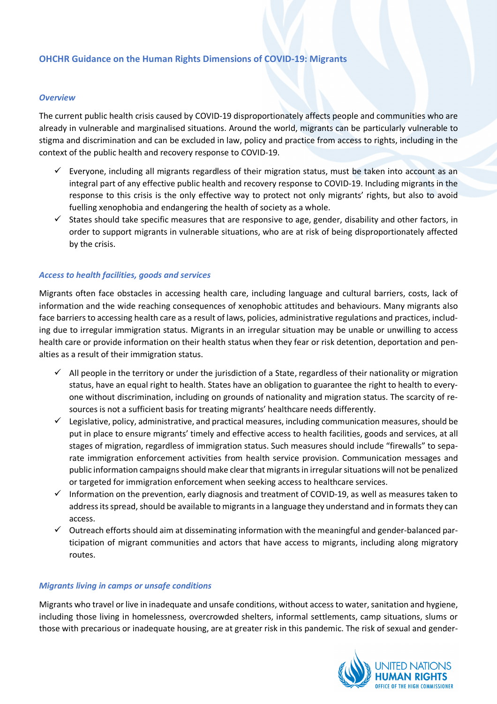# **OHCHR Guidance on the Human Rights Dimensions of COVID-19: Migrants**

#### *Overview*

The current public health crisis caused by COVID-19 disproportionately affects people and communities who are already in vulnerable and marginalised situations. Around the world, migrants can be particularly vulnerable to stigma and discrimination and can be excluded in law, policy and practice from access to rights, including in the context of the public health and recovery response to COVID-19.

- $\checkmark$  Everyone, including all migrants regardless of their migration status, must be taken into account as an integral part of any effective public health and recovery response to COVID-19. Including migrants in the response to this crisis is the only effective way to protect not only migrants' rights, but also to avoid fuelling xenophobia and endangering the health of society as a whole.
- $\checkmark$  States should take specific measures that are responsive to age, gender, disability and other factors, in order to support migrants in vulnerable situations, who are at risk of being disproportionately affected by the crisis.

### *Access to health facilities, goods and services*

Migrants often face obstacles in accessing health care, including language and cultural barriers, costs, lack of information and the wide reaching consequences of xenophobic attitudes and behaviours. Many migrants also face barriers to accessing health care as a result of laws, policies, administrative regulations and practices, including due to irregular immigration status. Migrants in an irregular situation may be unable or unwilling to access health care or provide information on their health status when they fear or risk detention, deportation and penalties as a result of their immigration status.

- $\checkmark$  All people in the territory or under the jurisdiction of a State, regardless of their nationality or migration status, have an equal right to health. States have an obligation to guarantee the right to health to everyone without discrimination, including on grounds of nationality and migration status. The scarcity of resources is not a sufficient basis for treating migrants' healthcare needs differently.
- $\checkmark$  Legislative, policy, administrative, and practical measures, including communication measures, should be put in place to ensure migrants' timely and effective access to health facilities, goods and services, at all stages of migration, regardless of immigration status. Such measures should include "firewalls" to separate immigration enforcement activities from health service provision. Communication messages and public information campaigns should make clear that migrants in irregular situations will not be penalized or targeted for immigration enforcement when seeking access to healthcare services.
- $\checkmark$  Information on the prevention, early diagnosis and treatment of COVID-19, as well as measures taken to address its spread, should be available to migrants in a language they understand and in formats they can access.
- $\checkmark$  Outreach efforts should aim at disseminating information with the meaningful and gender-balanced participation of migrant communities and actors that have access to migrants, including along migratory routes.

#### *Migrants living in camps or unsafe conditions*

Migrants who travel or live in inadequate and unsafe conditions, without access to water, sanitation and hygiene, including those living in homelessness, overcrowded shelters, informal settlements, camp situations, slums or those with precarious or inadequate housing, are at greater risk in this pandemic. The risk of sexual and gender-

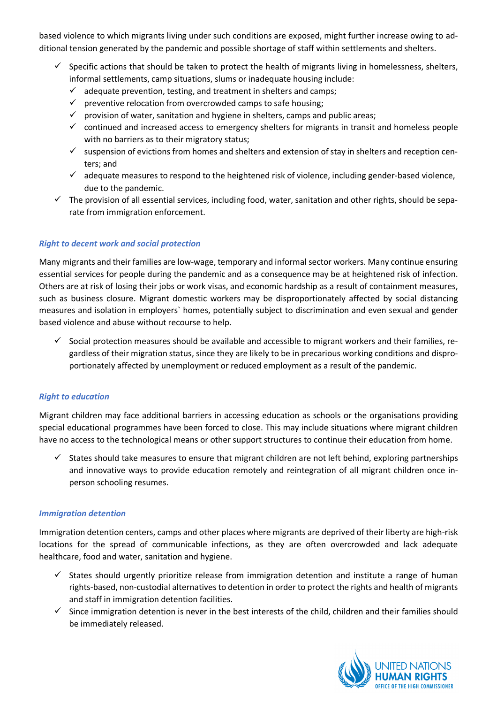based violence to which migrants living under such conditions are exposed, might further increase owing to additional tension generated by the pandemic and possible shortage of staff within settlements and shelters.

- $\checkmark$  Specific actions that should be taken to protect the health of migrants living in homelessness, shelters, informal settlements, camp situations, slums or inadequate housing include:
	- $\checkmark$  adequate prevention, testing, and treatment in shelters and camps;
	- $\checkmark$  preventive relocation from overcrowded camps to safe housing;
	- $\checkmark$  provision of water, sanitation and hygiene in shelters, camps and public areas;
	- $\checkmark$  continued and increased access to emergency shelters for migrants in transit and homeless people with no barriers as to their migratory status;
	- $\checkmark$  suspension of evictions from homes and shelters and extension of stay in shelters and reception centers; and
	- $\checkmark$  adequate measures to respond to the heightened risk of violence, including gender-based violence, due to the pandemic.
- $\checkmark$  The provision of all essential services, including food, water, sanitation and other rights, should be separate from immigration enforcement.

# *Right to decent work and social protection*

Many migrants and their families are low-wage, temporary and informal sector workers. Many continue ensuring essential services for people during the pandemic and as a consequence may be at heightened risk of infection. Others are at risk of losing their jobs or work visas, and economic hardship as a result of containment measures, such as business closure. Migrant domestic workers may be disproportionately affected by social distancing measures and isolation in employers` homes, potentially subject to discrimination and even sexual and gender based violence and abuse without recourse to help.

 $\checkmark$  Social protection measures should be available and accessible to migrant workers and their families, regardless of their migration status, since they are likely to be in precarious working conditions and disproportionately affected by unemployment or reduced employment as a result of the pandemic.

# *Right to education*

Migrant children may face additional barriers in accessing education as schools or the organisations providing special educational programmes have been forced to close. This may include situations where migrant children have no access to the technological means or other support structures to continue their education from home.

 $\checkmark$  States should take measures to ensure that migrant children are not left behind, exploring partnerships and innovative ways to provide education remotely and reintegration of all migrant children once inperson schooling resumes.

# *Immigration detention*

Immigration detention centers, camps and other places where migrants are deprived of their liberty are high-risk locations for the spread of communicable infections, as they are often overcrowded and lack adequate healthcare, food and water, sanitation and hygiene.

- $\checkmark$  States should urgently prioritize release from immigration detention and institute a range of human rights-based, non-custodial alternatives to detention in order to protect the rights and health of migrants and staff in immigration detention facilities.
- $\checkmark$  Since immigration detention is never in the best interests of the child, children and their families should be immediately released.